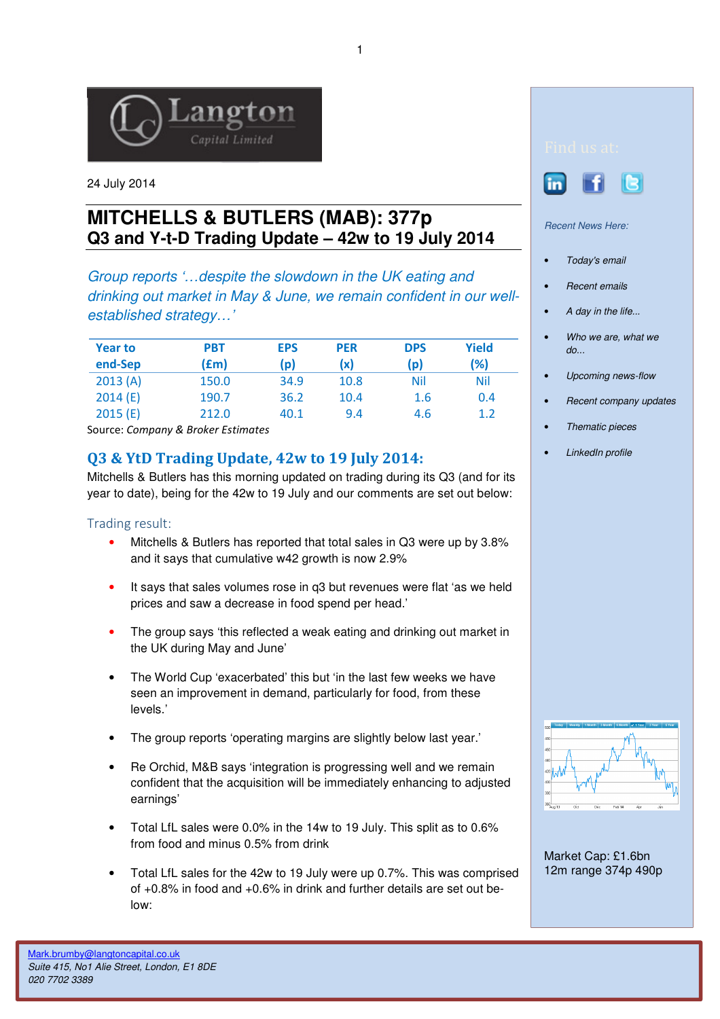

24 July 2014

# **MITCHELLS & BUTLERS (MAB): 377p Q3 and Y-t-D Trading Update – 42w to 19 July 2014**

Group reports '…despite the slowdown in the UK eating and drinking out market in May & June, we remain confident in our wellestablished strategy…'

| <b>Year to</b> | <b>PBT</b> | <b>EPS</b> | <b>PER</b> | <b>DPS</b> | Yield |
|----------------|------------|------------|------------|------------|-------|
| end-Sep        | (£m)       | (p)        | (x)        | (p)        | (%)   |
| 2013(A)        | 150.0      | 34.9       | 10.8       | Nil        | Nil   |
| 2014(E)        | 190.7      | 36.2       | 10.4       | 1.6        | 0.4   |
| 2015(E)        | 212.0      | 40.1       | 9.4        | 4.6        | 1.2   |

Source: Company & Broker Estimates

# Q3 & YtD Trading Update, 42w to 19 July 2014:

Mitchells & Butlers has this morning updated on trading during its Q3 (and for its year to date), being for the 42w to 19 July and our comments are set out below:

## Trading result:

- Mitchells & Butlers has reported that total sales in Q3 were up by 3.8% and it says that cumulative w42 growth is now 2.9%
- It says that sales volumes rose in q3 but revenues were flat 'as we held prices and saw a decrease in food spend per head.'
- The group says 'this reflected a weak eating and drinking out market in the UK during May and June'
- The World Cup 'exacerbated' this but 'in the last few weeks we have seen an improvement in demand, particularly for food, from these levels.'
- The group reports 'operating margins are slightly below last year.'
- Re Orchid, M&B says 'integration is progressing well and we remain confident that the acquisition will be immediately enhancing to adjusted earnings'
- Total LfL sales were 0.0% in the 14w to 19 July. This split as to 0.6% from food and minus 0.5% from drink
- Total LfL sales for the 42w to 19 July were up 0.7%. This was comprised of +0.8% in food and +0.6% in drink and further details are set out below:



#### Recent News Here:

- Today's email
- Recent emails
- A day in the life...
- Who we are, what we do...
- Upcoming news-flow
- Recent company updates
- Thematic pieces
- LinkedIn profile



Market Cap: £1.6bn 12m range 374p 490p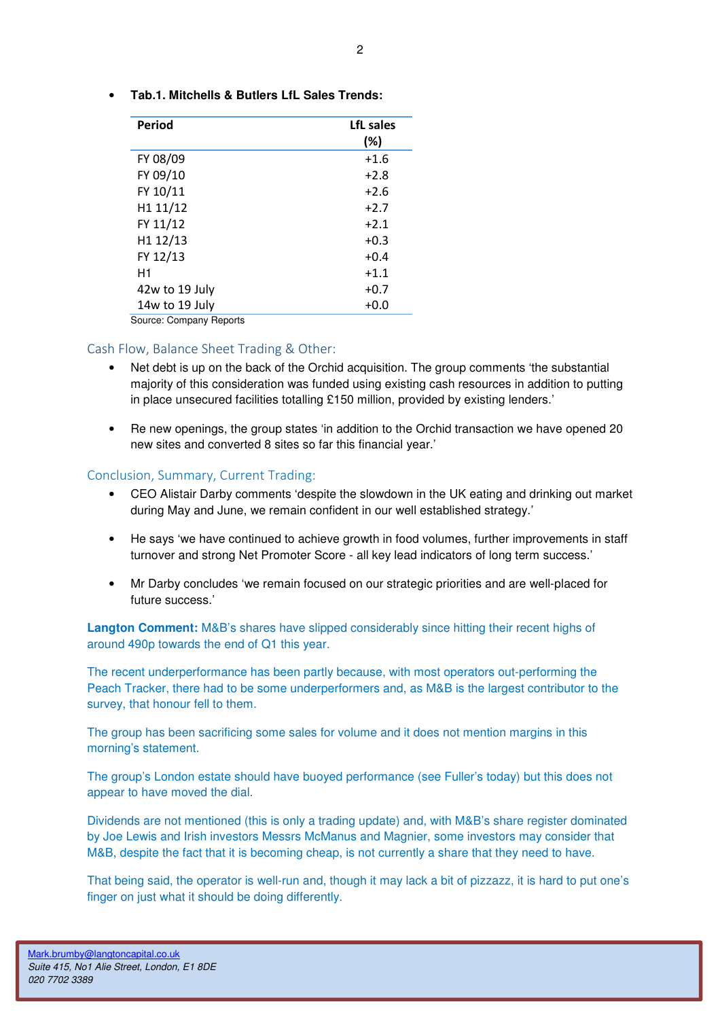• **Tab.1. Mitchells & Butlers LfL Sales Trends:** 

| Period         | LfL sales<br>(%) |
|----------------|------------------|
| FY 08/09       | $+1.6$           |
| FY 09/10       | $+2.8$           |
| FY 10/11       | $+2.6$           |
| H1 11/12       | $+2.7$           |
| FY 11/12       | $+2.1$           |
| H1 12/13       | $+0.3$           |
| FY 12/13       | $+0.4$           |
| H <sub>1</sub> | $+1.1$           |
| 42w to 19 July | $+0.7$           |
| 14w to 19 July | $+0.0$           |

Source: Company Reports

## Cash Flow, Balance Sheet Trading & Other:

- Net debt is up on the back of the Orchid acquisition. The group comments 'the substantial majority of this consideration was funded using existing cash resources in addition to putting in place unsecured facilities totalling £150 million, provided by existing lenders.'
- Re new openings, the group states 'in addition to the Orchid transaction we have opened 20 new sites and converted 8 sites so far this financial year.'

# Conclusion, Summary, Current Trading:

- CEO Alistair Darby comments 'despite the slowdown in the UK eating and drinking out market during May and June, we remain confident in our well established strategy.'
- He says 'we have continued to achieve growth in food volumes, further improvements in staff turnover and strong Net Promoter Score - all key lead indicators of long term success.'
- Mr Darby concludes 'we remain focused on our strategic priorities and are well-placed for future success.'

**Langton Comment:** M&B's shares have slipped considerably since hitting their recent highs of around 490p towards the end of Q1 this year.

The recent underperformance has been partly because, with most operators out-performing the Peach Tracker, there had to be some underperformers and, as M&B is the largest contributor to the survey, that honour fell to them.

The group has been sacrificing some sales for volume and it does not mention margins in this morning's statement.

The group's London estate should have buoyed performance (see Fuller's today) but this does not appear to have moved the dial.

Dividends are not mentioned (this is only a trading update) and, with M&B's share register dominated by Joe Lewis and Irish investors Messrs McManus and Magnier, some investors may consider that M&B, despite the fact that it is becoming cheap, is not currently a share that they need to have.

That being said, the operator is well-run and, though it may lack a bit of pizzazz, it is hard to put one's finger on just what it should be doing differently.